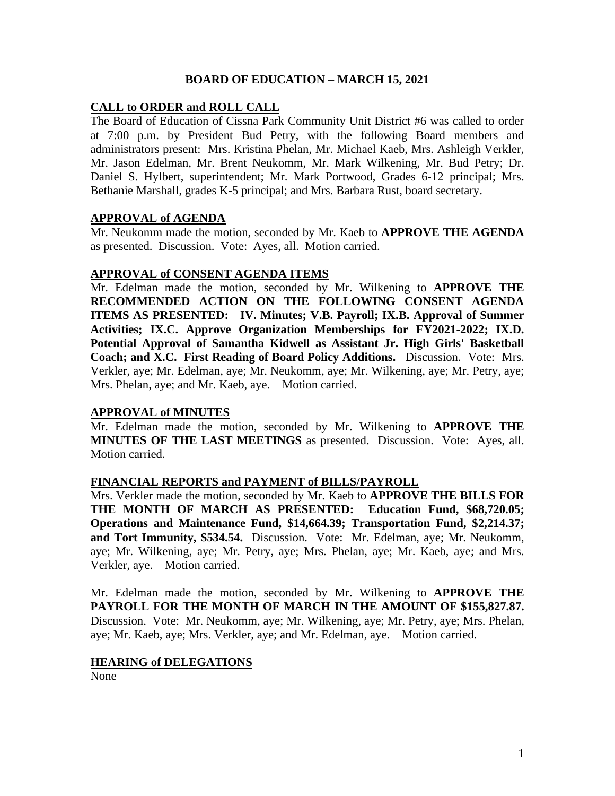## **BOARD OF EDUCATION – MARCH 15, 2021**

## **CALL to ORDER and ROLL CALL**

The Board of Education of Cissna Park Community Unit District #6 was called to order at 7:00 p.m. by President Bud Petry, with the following Board members and administrators present: Mrs. Kristina Phelan, Mr. Michael Kaeb, Mrs. Ashleigh Verkler, Mr. Jason Edelman, Mr. Brent Neukomm, Mr. Mark Wilkening, Mr. Bud Petry; Dr. Daniel S. Hylbert, superintendent; Mr. Mark Portwood, Grades 6-12 principal; Mrs. Bethanie Marshall, grades K-5 principal; and Mrs. Barbara Rust, board secretary.

### **APPROVAL of AGENDA**

Mr. Neukomm made the motion, seconded by Mr. Kaeb to **APPROVE THE AGENDA**  as presented. Discussion. Vote: Ayes, all. Motion carried.

### **APPROVAL of CONSENT AGENDA ITEMS**

Mr. Edelman made the motion, seconded by Mr. Wilkening to **APPROVE THE RECOMMENDED ACTION ON THE FOLLOWING CONSENT AGENDA ITEMS AS PRESENTED: IV. Minutes; V.B. Payroll; IX.B. Approval of Summer Activities; IX.C. Approve Organization Memberships for FY2021-2022; IX.D. Potential Approval of Samantha Kidwell as Assistant Jr. High Girls' Basketball Coach; and X.C. First Reading of Board Policy Additions.** Discussion. Vote: Mrs. Verkler, aye; Mr. Edelman, aye; Mr. Neukomm, aye; Mr. Wilkening, aye; Mr. Petry, aye; Mrs. Phelan, aye; and Mr. Kaeb, aye. Motion carried.

### **APPROVAL of MINUTES**

Mr. Edelman made the motion, seconded by Mr. Wilkening to **APPROVE THE MINUTES OF THE LAST MEETINGS** as presented. Discussion. Vote: Ayes, all. Motion carried.

### **FINANCIAL REPORTS and PAYMENT of BILLS/PAYROLL**

Mrs. Verkler made the motion, seconded by Mr. Kaeb to **APPROVE THE BILLS FOR THE MONTH OF MARCH AS PRESENTED: Education Fund, \$68,720.05; Operations and Maintenance Fund, \$14,664.39; Transportation Fund, \$2,214.37; and Tort Immunity, \$534.54.** Discussion. Vote: Mr. Edelman, aye; Mr. Neukomm, aye; Mr. Wilkening, aye; Mr. Petry, aye; Mrs. Phelan, aye; Mr. Kaeb, aye; and Mrs. Verkler, aye. Motion carried.

Mr. Edelman made the motion, seconded by Mr. Wilkening to **APPROVE THE PAYROLL FOR THE MONTH OF MARCH IN THE AMOUNT OF \$155,827.87.** Discussion. Vote: Mr. Neukomm, aye; Mr. Wilkening, aye; Mr. Petry, aye; Mrs. Phelan, aye; Mr. Kaeb, aye; Mrs. Verkler, aye; and Mr. Edelman, aye. Motion carried.

### **HEARING of DELEGATIONS**

None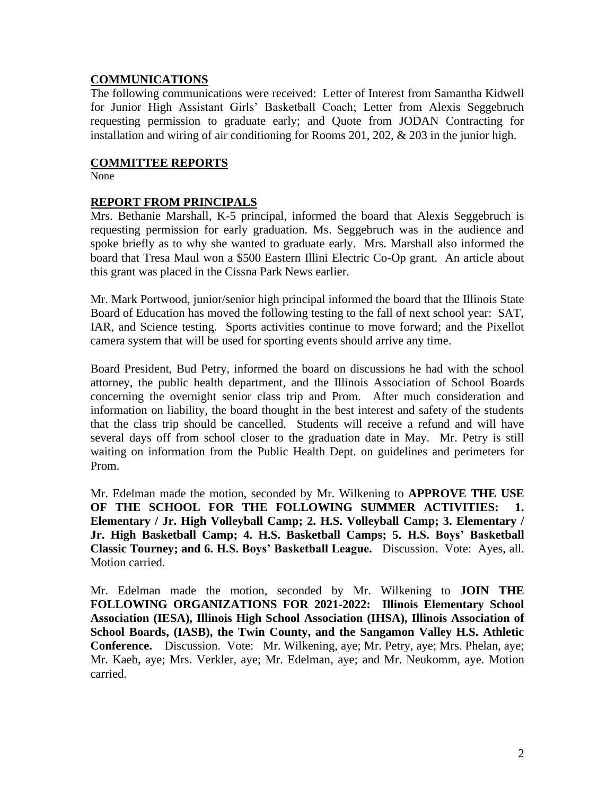# **COMMUNICATIONS**

The following communications were received: Letter of Interest from Samantha Kidwell for Junior High Assistant Girls' Basketball Coach; Letter from Alexis Seggebruch requesting permission to graduate early; and Quote from JODAN Contracting for installation and wiring of air conditioning for Rooms 201, 202, & 203 in the junior high.

### **COMMITTEE REPORTS**

None

## **REPORT FROM PRINCIPALS**

Mrs. Bethanie Marshall, K-5 principal, informed the board that Alexis Seggebruch is requesting permission for early graduation. Ms. Seggebruch was in the audience and spoke briefly as to why she wanted to graduate early. Mrs. Marshall also informed the board that Tresa Maul won a \$500 Eastern Illini Electric Co-Op grant. An article about this grant was placed in the Cissna Park News earlier.

Mr. Mark Portwood, junior/senior high principal informed the board that the Illinois State Board of Education has moved the following testing to the fall of next school year: SAT, IAR, and Science testing. Sports activities continue to move forward; and the Pixellot camera system that will be used for sporting events should arrive any time.

Board President, Bud Petry, informed the board on discussions he had with the school attorney, the public health department, and the Illinois Association of School Boards concerning the overnight senior class trip and Prom. After much consideration and information on liability, the board thought in the best interest and safety of the students that the class trip should be cancelled. Students will receive a refund and will have several days off from school closer to the graduation date in May. Mr. Petry is still waiting on information from the Public Health Dept. on guidelines and perimeters for Prom.

Mr. Edelman made the motion, seconded by Mr. Wilkening to **APPROVE THE USE OF THE SCHOOL FOR THE FOLLOWING SUMMER ACTIVITIES: 1. Elementary / Jr. High Volleyball Camp; 2. H.S. Volleyball Camp; 3. Elementary / Jr. High Basketball Camp; 4. H.S. Basketball Camps; 5. H.S. Boys' Basketball Classic Tourney; and 6. H.S. Boys' Basketball League.** Discussion. Vote: Ayes, all. Motion carried.

Mr. Edelman made the motion, seconded by Mr. Wilkening to **JOIN THE FOLLOWING ORGANIZATIONS FOR 2021-2022: Illinois Elementary School Association (IESA), Illinois High School Association (IHSA), Illinois Association of School Boards, (IASB), the Twin County, and the Sangamon Valley H.S. Athletic Conference.** Discussion. Vote: Mr. Wilkening, aye; Mr. Petry, aye; Mrs. Phelan, aye; Mr. Kaeb, aye; Mrs. Verkler, aye; Mr. Edelman, aye; and Mr. Neukomm, aye. Motion carried.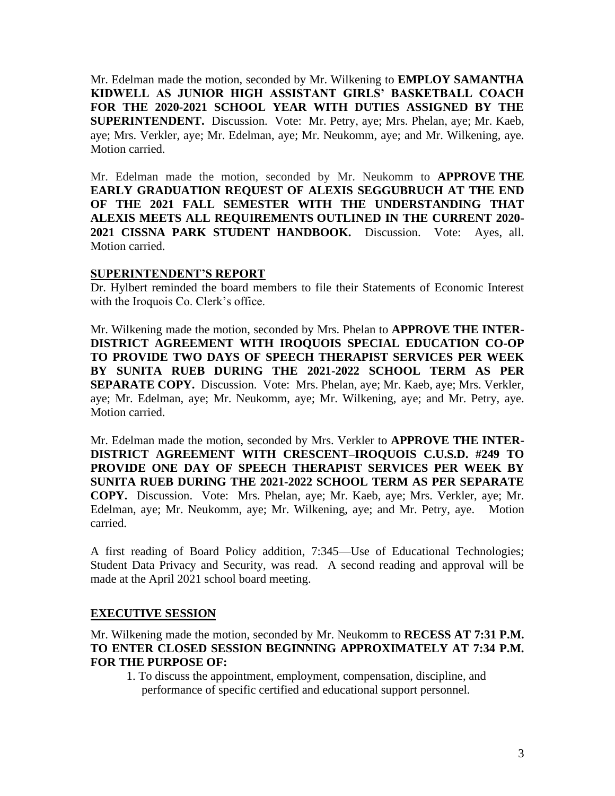Mr. Edelman made the motion, seconded by Mr. Wilkening to **EMPLOY SAMANTHA KIDWELL AS JUNIOR HIGH ASSISTANT GIRLS' BASKETBALL COACH FOR THE 2020-2021 SCHOOL YEAR WITH DUTIES ASSIGNED BY THE SUPERINTENDENT.** Discussion. Vote: Mr. Petry, aye; Mrs. Phelan, aye; Mr. Kaeb, aye; Mrs. Verkler, aye; Mr. Edelman, aye; Mr. Neukomm, aye; and Mr. Wilkening, aye. Motion carried.

Mr. Edelman made the motion, seconded by Mr. Neukomm to **APPROVE THE EARLY GRADUATION REQUEST OF ALEXIS SEGGUBRUCH AT THE END OF THE 2021 FALL SEMESTER WITH THE UNDERSTANDING THAT ALEXIS MEETS ALL REQUIREMENTS OUTLINED IN THE CURRENT 2020- 2021 CISSNA PARK STUDENT HANDBOOK.** Discussion. Vote: Ayes, all. Motion carried.

### **SUPERINTENDENT'S REPORT**

Dr. Hylbert reminded the board members to file their Statements of Economic Interest with the Iroquois Co. Clerk's office.

Mr. Wilkening made the motion, seconded by Mrs. Phelan to **APPROVE THE INTER-DISTRICT AGREEMENT WITH IROQUOIS SPECIAL EDUCATION CO-OP TO PROVIDE TWO DAYS OF SPEECH THERAPIST SERVICES PER WEEK BY SUNITA RUEB DURING THE 2021-2022 SCHOOL TERM AS PER SEPARATE COPY.** Discussion. Vote: Mrs. Phelan, aye; Mr. Kaeb, aye; Mrs. Verkler, aye; Mr. Edelman, aye; Mr. Neukomm, aye; Mr. Wilkening, aye; and Mr. Petry, aye. Motion carried.

Mr. Edelman made the motion, seconded by Mrs. Verkler to **APPROVE THE INTER-DISTRICT AGREEMENT WITH CRESCENT–IROQUOIS C.U.S.D. #249 TO PROVIDE ONE DAY OF SPEECH THERAPIST SERVICES PER WEEK BY SUNITA RUEB DURING THE 2021-2022 SCHOOL TERM AS PER SEPARATE COPY.** Discussion. Vote: Mrs. Phelan, aye; Mr. Kaeb, aye; Mrs. Verkler, aye; Mr. Edelman, aye; Mr. Neukomm, aye; Mr. Wilkening, aye; and Mr. Petry, aye. Motion carried.

A first reading of Board Policy addition, 7:345—Use of Educational Technologies; Student Data Privacy and Security, was read. A second reading and approval will be made at the April 2021 school board meeting.

# **EXECUTIVE SESSION**

Mr. Wilkening made the motion, seconded by Mr. Neukomm to **RECESS AT 7:31 P.M. TO ENTER CLOSED SESSION BEGINNING APPROXIMATELY AT 7:34 P.M. FOR THE PURPOSE OF:** 

1. To discuss the appointment, employment, compensation, discipline, and performance of specific certified and educational support personnel.